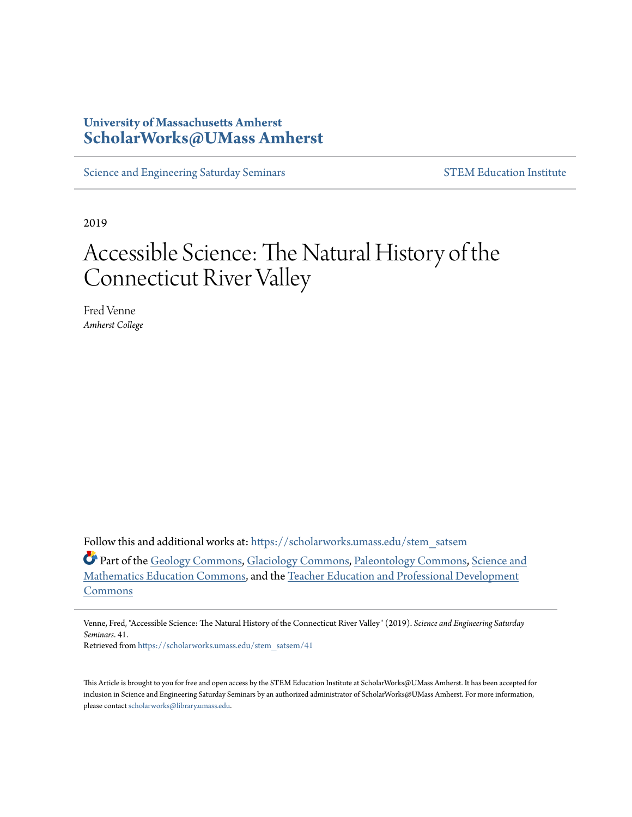#### **University of Massachusetts Amherst [ScholarWorks@UMass Amherst](https://scholarworks.umass.edu?utm_source=scholarworks.umass.edu%2Fstem_satsem%2F41&utm_medium=PDF&utm_campaign=PDFCoverPages)**

[Science and Engineering Saturday Seminars](https://scholarworks.umass.edu/stem_satsem?utm_source=scholarworks.umass.edu%2Fstem_satsem%2F41&utm_medium=PDF&utm_campaign=PDFCoverPages) [STEM Education Institute](https://scholarworks.umass.edu/stem?utm_source=scholarworks.umass.edu%2Fstem_satsem%2F41&utm_medium=PDF&utm_campaign=PDFCoverPages)

2019

### Accessible Science: The Natural History of the Connecticut River Valley

Fred Venne *Amherst College*

Follow this and additional works at: [https://scholarworks.umass.edu/stem\\_satsem](https://scholarworks.umass.edu/stem_satsem?utm_source=scholarworks.umass.edu%2Fstem_satsem%2F41&utm_medium=PDF&utm_campaign=PDFCoverPages)

Part of the [Geology Commons,](http://network.bepress.com/hgg/discipline/156?utm_source=scholarworks.umass.edu%2Fstem_satsem%2F41&utm_medium=PDF&utm_campaign=PDFCoverPages) [Glaciology Commons](http://network.bepress.com/hgg/discipline/159?utm_source=scholarworks.umass.edu%2Fstem_satsem%2F41&utm_medium=PDF&utm_campaign=PDFCoverPages), [Paleontology Commons](http://network.bepress.com/hgg/discipline/162?utm_source=scholarworks.umass.edu%2Fstem_satsem%2F41&utm_medium=PDF&utm_campaign=PDFCoverPages), [Science and](http://network.bepress.com/hgg/discipline/800?utm_source=scholarworks.umass.edu%2Fstem_satsem%2F41&utm_medium=PDF&utm_campaign=PDFCoverPages) [Mathematics Education Commons](http://network.bepress.com/hgg/discipline/800?utm_source=scholarworks.umass.edu%2Fstem_satsem%2F41&utm_medium=PDF&utm_campaign=PDFCoverPages), and the [Teacher Education and Professional Development](http://network.bepress.com/hgg/discipline/803?utm_source=scholarworks.umass.edu%2Fstem_satsem%2F41&utm_medium=PDF&utm_campaign=PDFCoverPages) [Commons](http://network.bepress.com/hgg/discipline/803?utm_source=scholarworks.umass.edu%2Fstem_satsem%2F41&utm_medium=PDF&utm_campaign=PDFCoverPages)

Retrieved from [https://scholarworks.umass.edu/stem\\_satsem/41](https://scholarworks.umass.edu/stem_satsem/41?utm_source=scholarworks.umass.edu%2Fstem_satsem%2F41&utm_medium=PDF&utm_campaign=PDFCoverPages)

This Article is brought to you for free and open access by the STEM Education Institute at ScholarWorks@UMass Amherst. It has been accepted for inclusion in Science and Engineering Saturday Seminars by an authorized administrator of ScholarWorks@UMass Amherst. For more information, please contact [scholarworks@library.umass.edu.](mailto:scholarworks@library.umass.edu)

Venne, Fred, "Accessible Science: The Natural History of the Connecticut River Valley" (2019). *Science and Engineering Saturday Seminars*. 41.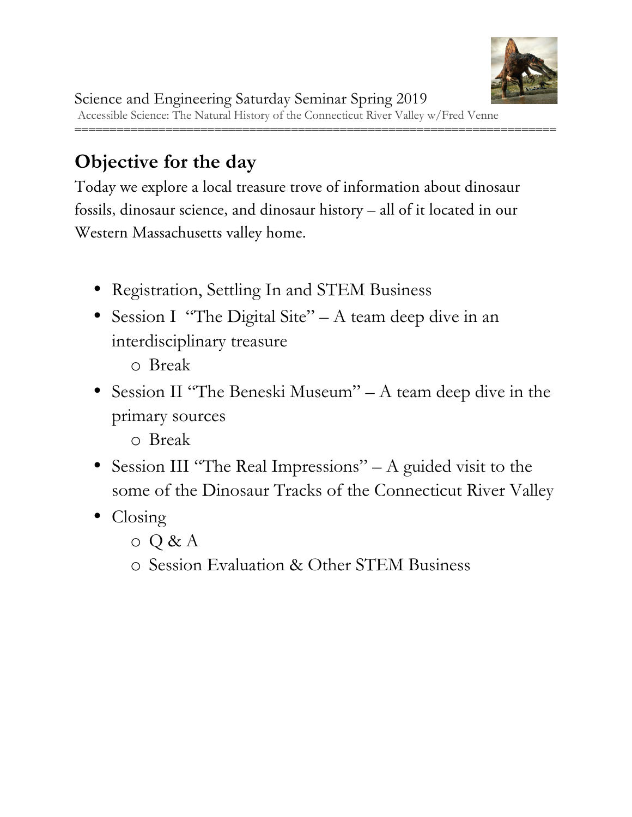

### **Objective for the day**

Today we explore a local treasure trove of information about dinosaur fossils, dinosaur science, and dinosaur history – all of it located in our Western Massachusetts valley home.

- Registration, Settling In and STEM Business
- Session I "The Digital Site" A team deep dive in an interdisciplinary treasure
	- o Break
- Session II "The Beneski Museum" A team deep dive in the primary sources

o Break

- Session III "The Real Impressions" A guided visit to the some of the Dinosaur Tracks of the Connecticut River Valley
- Closing
	- o Q & A
	- o Session Evaluation & Other STEM Business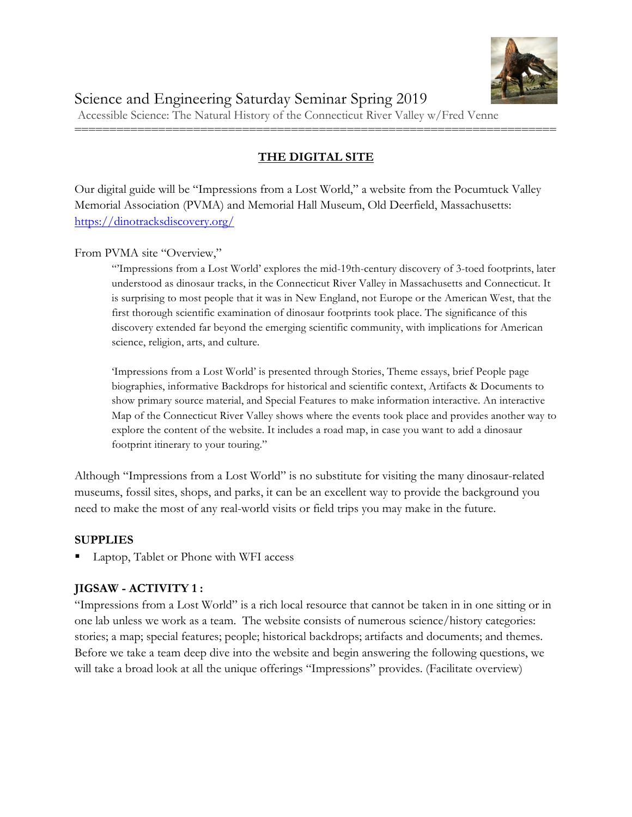

#### **THE DIGITAL SITE**

=====================================================================

Our digital guide will be "Impressions from a Lost World," a website from the Pocumtuck Valley Memorial Association (PVMA) and Memorial Hall Museum, Old Deerfield, Massachusetts: https://dinotracksdiscovery.org/

From PVMA site "Overview,"

"'Impressions from a Lost World' explores the mid-19th-century discovery of 3-toed footprints, later understood as dinosaur tracks, in the Connecticut River Valley in Massachusetts and Connecticut. It is surprising to most people that it was in New England, not Europe or the American West, that the first thorough scientific examination of dinosaur footprints took place. The significance of this discovery extended far beyond the emerging scientific community, with implications for American science, religion, arts, and culture.

'Impressions from a Lost World' is presented through Stories, Theme essays, brief People page biographies, informative Backdrops for historical and scientific context, Artifacts & Documents to show primary source material, and Special Features to make information interactive. An interactive Map of the Connecticut River Valley shows where the events took place and provides another way to explore the content of the website. It includes a road map, in case you want to add a dinosaur footprint itinerary to your touring."

Although "Impressions from a Lost World" is no substitute for visiting the many dinosaur-related museums, fossil sites, shops, and parks, it can be an excellent way to provide the background you need to make the most of any real-world visits or field trips you may make in the future.

#### **SUPPLIES**

§ Laptop, Tablet or Phone with WFI access

#### **JIGSAW - ACTIVITY 1 :**

"Impressions from a Lost World" is a rich local resource that cannot be taken in in one sitting or in one lab unless we work as a team. The website consists of numerous science/history categories: stories; a map; special features; people; historical backdrops; artifacts and documents; and themes. Before we take a team deep dive into the website and begin answering the following questions, we will take a broad look at all the unique offerings "Impressions" provides. (Facilitate overview)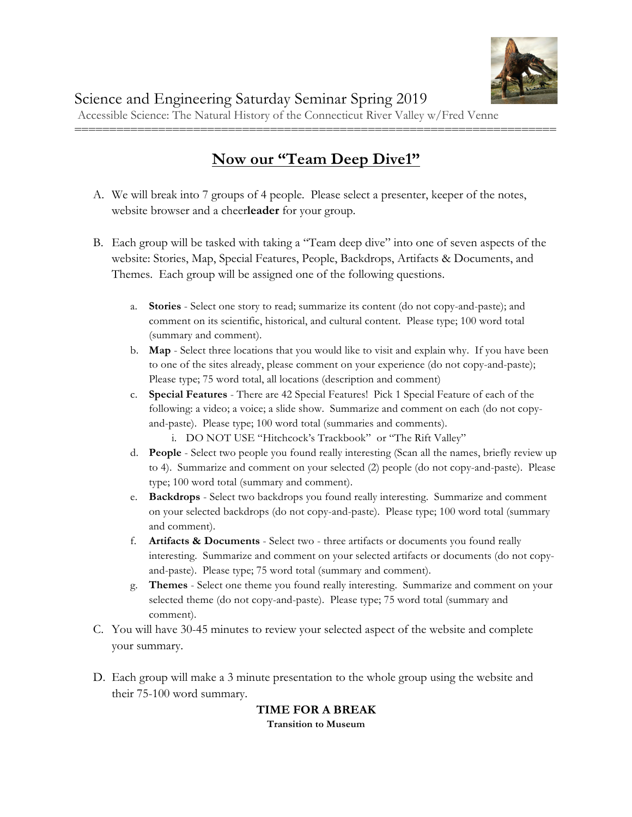

### **Now our "Team Deep Dive1"**

=====================================================================

- A. We will break into 7 groups of 4 people. Please select a presenter, keeper of the notes, website browser and a cheer**leader** for your group.
- B. Each group will be tasked with taking a "Team deep dive" into one of seven aspects of the website: Stories, Map, Special Features, People, Backdrops, Artifacts & Documents, and Themes. Each group will be assigned one of the following questions.
	- a. **Stories**  Select one story to read; summarize its content (do not copy-and-paste); and comment on its scientific, historical, and cultural content. Please type; 100 word total (summary and comment).
	- b. **Map**  Select three locations that you would like to visit and explain why. If you have been to one of the sites already, please comment on your experience (do not copy-and-paste); Please type; 75 word total, all locations (description and comment)
	- c. **Special Features** There are 42 Special Features! Pick 1 Special Feature of each of the following: a video; a voice; a slide show. Summarize and comment on each (do not copyand-paste). Please type; 100 word total (summaries and comments).
		- i. DO NOT USE "Hitchcock's Trackbook" or "The Rift Valley"
	- d. **People**  Select two people you found really interesting (Scan all the names, briefly review up to 4). Summarize and comment on your selected (2) people (do not copy-and-paste). Please type; 100 word total (summary and comment).
	- e. **Backdrops** Select two backdrops you found really interesting. Summarize and comment on your selected backdrops (do not copy-and-paste). Please type; 100 word total (summary and comment).
	- f. **Artifacts & Documents** Select two three artifacts or documents you found really interesting. Summarize and comment on your selected artifacts or documents (do not copyand-paste). Please type; 75 word total (summary and comment).
	- g. **Themes** Select one theme you found really interesting. Summarize and comment on your selected theme (do not copy-and-paste). Please type; 75 word total (summary and comment).
- C. You will have 30-45 minutes to review your selected aspect of the website and complete your summary.
- D. Each group will make a 3 minute presentation to the whole group using the website and their 75-100 word summary.

#### **TIME FOR A BREAK**

**Transition to Museum**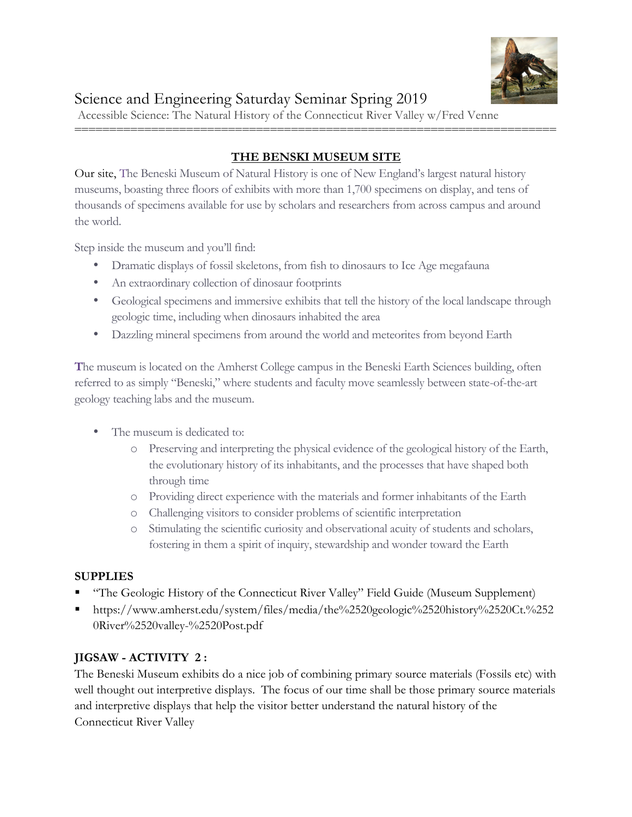

#### **THE BENSKI MUSEUM SITE**

=====================================================================

Our site, The Beneski Museum of Natural History is one of New England's largest natural history museums, boasting three floors of exhibits with more than 1,700 specimens on display, and tens of thousands of specimens available for use by scholars and researchers from across campus and around the world.

Step inside the museum and you'll find:

- Dramatic displays of fossil skeletons, from fish to dinosaurs to Ice Age megafauna
- An extraordinary collection of dinosaur footprints
- Geological specimens and immersive exhibits that tell the history of the local landscape through geologic time, including when dinosaurs inhabited the area
- Dazzling mineral specimens from around the world and meteorites from beyond Earth

**T**he museum is located on the Amherst College campus in the Beneski Earth Sciences building, often referred to as simply "Beneski," where students and faculty move seamlessly between state-of-the-art geology teaching labs and the museum.

- The museum is dedicated to:
	- o Preserving and interpreting the physical evidence of the geological history of the Earth, the evolutionary history of its inhabitants, and the processes that have shaped both through time
	- o Providing direct experience with the materials and former inhabitants of the Earth
	- o Challenging visitors to consider problems of scientific interpretation
	- o Stimulating the scientific curiosity and observational acuity of students and scholars, fostering in them a spirit of inquiry, stewardship and wonder toward the Earth

#### **SUPPLIES**

- § "The Geologic History of the Connecticut River Valley" Field Guide (Museum Supplement)
- § https://www.amherst.edu/system/files/media/the%2520geologic%2520history%2520Ct.%252 0River%2520valley-%2520Post.pdf

#### **JIGSAW - ACTIVITY 2 :**

The Beneski Museum exhibits do a nice job of combining primary source materials (Fossils etc) with well thought out interpretive displays. The focus of our time shall be those primary source materials and interpretive displays that help the visitor better understand the natural history of the Connecticut River Valley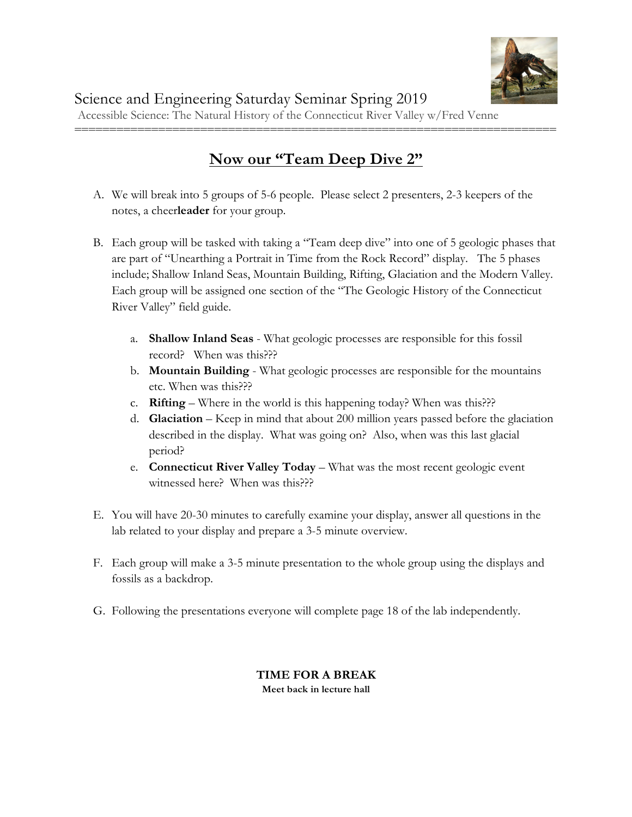

### **Now our "Team Deep Dive 2"**

=====================================================================

- A. We will break into 5 groups of 5-6 people. Please select 2 presenters, 2-3 keepers of the notes, a cheer**leader** for your group.
- B. Each group will be tasked with taking a "Team deep dive" into one of 5 geologic phases that are part of "Unearthing a Portrait in Time from the Rock Record" display. The 5 phases include; Shallow Inland Seas, Mountain Building, Rifting, Glaciation and the Modern Valley. Each group will be assigned one section of the "The Geologic History of the Connecticut River Valley" field guide.
	- a. **Shallow Inland Seas** What geologic processes are responsible for this fossil record? When was this???
	- b. **Mountain Building** What geologic processes are responsible for the mountains etc. When was this???
	- c. **Rifting** Where in the world is this happening today? When was this???
	- d. **Glaciation** Keep in mind that about 200 million years passed before the glaciation described in the display. What was going on? Also, when was this last glacial period?
	- e. **Connecticut River Valley Today** What was the most recent geologic event witnessed here? When was this???
- E. You will have 20-30 minutes to carefully examine your display, answer all questions in the lab related to your display and prepare a 3-5 minute overview.
- F. Each group will make a 3-5 minute presentation to the whole group using the displays and fossils as a backdrop.
- G. Following the presentations everyone will complete page 18 of the lab independently.

#### **TIME FOR A BREAK Meet back in lecture hall**